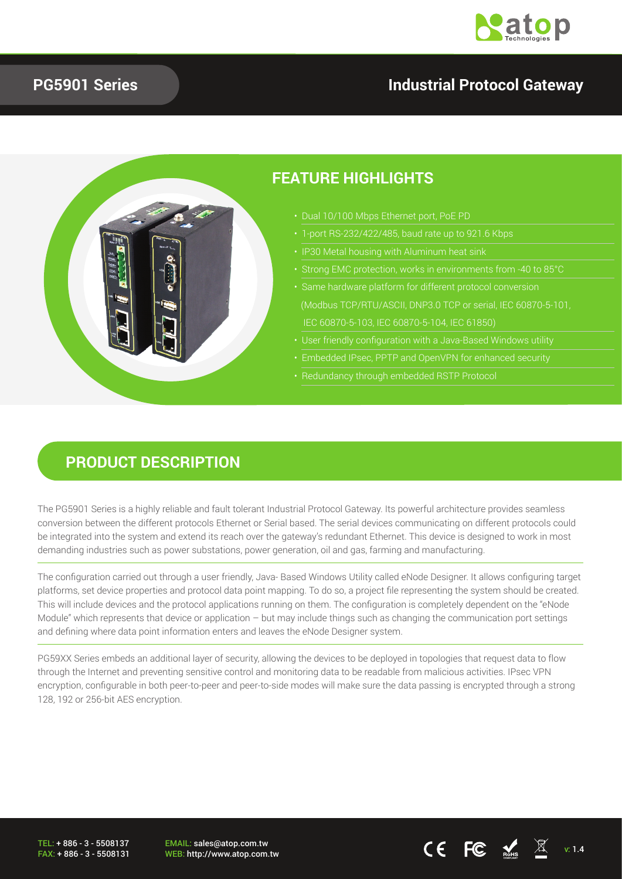

#### **PG5901 Series**

## **Industrial Protocol Gateway**



## **PRODUCT DESCRIPTION**

The PG5901 Series is a highly reliable and fault tolerant Industrial Protocol Gateway. Its powerful architecture provides seamless conversion between the different protocols Ethernet or Serial based. The serial devices communicating on different protocols could be integrated into the system and extend its reach over the gateway's redundant Ethernet. This device is designed to work in most demanding industries such as power substations, power generation, oil and gas, farming and manufacturing.

The configuration carried out through a user friendly, Java- Based Windows Utility called eNode Designer. It allows configuring target platforms, set device properties and protocol data point mapping. To do so, a project file representing the system should be created. This will include devices and the protocol applications running on them. The configuration is completely dependent on the "eNode Module" which represents that device or application – but may include things such as changing the communication port settings and defining where data point information enters and leaves the eNode Designer system.

PG59XX Series embeds an additional layer of security, allowing the devices to be deployed in topologies that request data to flow through the Internet and preventing sensitive control and monitoring data to be readable from malicious activities. IPsec VPN encryption, configurable in both peer-to-peer and peer-to-side modes will make sure the data passing is encrypted through a strong 128, 192 or 256-bit AES encryption.

TEL: + 886 - 3 - 5508137 FAX: + 886 - 3 - 5508131 EMAIL: sales@atop.com.tw

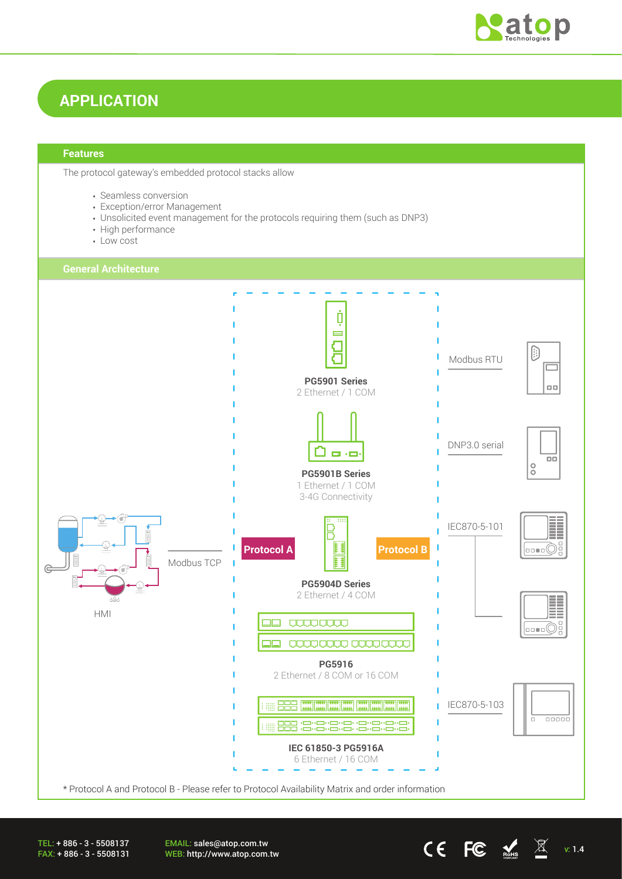

# **APPLICATION**

#### **Features**

The protocol gateway's embedded protocol stacks allow

- Seamless conversion
- Exception/error Management
- Unsolicited event management for the protocols requiring them (such as DNP3)
- High performance
- Low cost



EMAIL: sales@atop.com.tw EWAIL. Sales water community<br>WEB: http://www.atop.com.tw v: 1.4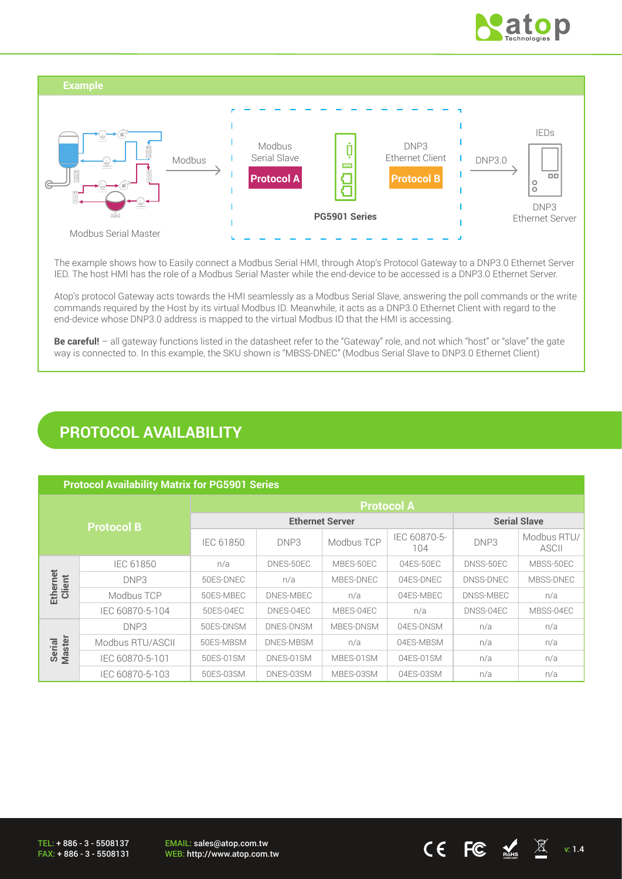



The example shows how to Easily connect a Modbus Serial HMI, through Atop's Protocol Gateway to a DNP3.0 Ethernet Server IED. The host HMI has the role of a Modbus Serial Master while the end-device to be accessed is a DNP3.0 Ethernet Server.

Atop's protocol Gateway acts towards the HMI seamlessly as a Modbus Serial Slave, answering the poll commands or the write commands required by the Host by its virtual Modbus ID. Meanwhile, it acts as a DNP3.0 Ethernet Client with regard to the end-device whose DNP3.0 address is mapped to the virtual Modbus ID that the HMI is accessing.

**Be careful!** – all gateway functions listed in the datasheet refer to the "Gateway" role, and not which "host" or "slave" the gate way is connected to. In this example, the SKU shown is "MBSS-DNEC" (Modbus Serial Slave to DNP3.0 Ethernet Client)

## **PROTOCOL AVAILABILITY**

#### **Protocol Availability Matrix for PG5901 Series**

| <b>Protocol B</b>       |                  | <b>Protocol A</b>      |           |            |                     |                     |                      |
|-------------------------|------------------|------------------------|-----------|------------|---------------------|---------------------|----------------------|
|                         |                  | <b>Ethernet Server</b> |           |            |                     | <b>Serial Slave</b> |                      |
|                         |                  | IEC 61850              | DNP3      | Modbus TCP | IEC 60870-5-<br>104 | DNP3                | Modbus RTU/<br>ASCII |
|                         | <b>IEC 61850</b> | n/a                    | DNES-50EC | MBES-50EC  | 04ES-50EC           | DNSS-50EC           | MBSS-50EC            |
| Ethernet<br>Client      | DNP3             | 50ES-DNEC              | n/a       | MBES-DNEC  | 04ES-DNEC           | DNSS-DNEC           | MBSS-DNEC            |
|                         | Modbus TCP       | 50ES-MBEC              | DNES-MBEC | n/a        | 04ES-MBEC           | DNSS-MBEC           | n/a                  |
|                         | IEC 60870-5-104  | 50ES-04EC              | DNES-04EC | MBES-04EC  | n/a                 | DNSS-04EC           | MBSS-04EC            |
|                         | DNP3             | 50ES-DNSM              | DNES-DNSM | MBES-DNSM  | 04ES-DNSM           | n/a                 | n/a                  |
| <b>Master</b><br>Serial | Modbus RTU/ASCII | 50ES-MBSM              | DNES-MBSM | n/a        | 04ES-MBSM           | n/a                 | n/a                  |
|                         | IEC 60870-5-101  | 50ES-01SM              | DNES-01SM | MBES-01SM  | 04ES-01SM           | n/a                 | n/a                  |
|                         | IEC 60870-5-103  | 50ES-03SM              | DNES-03SM | MBES-03SM  | 04ES-03SM           | n/a                 | n/a                  |

TEL: + 886 - 3 - 5508137 FAX: + 886 - 3 - 5508131

EMAIL: sales@atop.com.tw

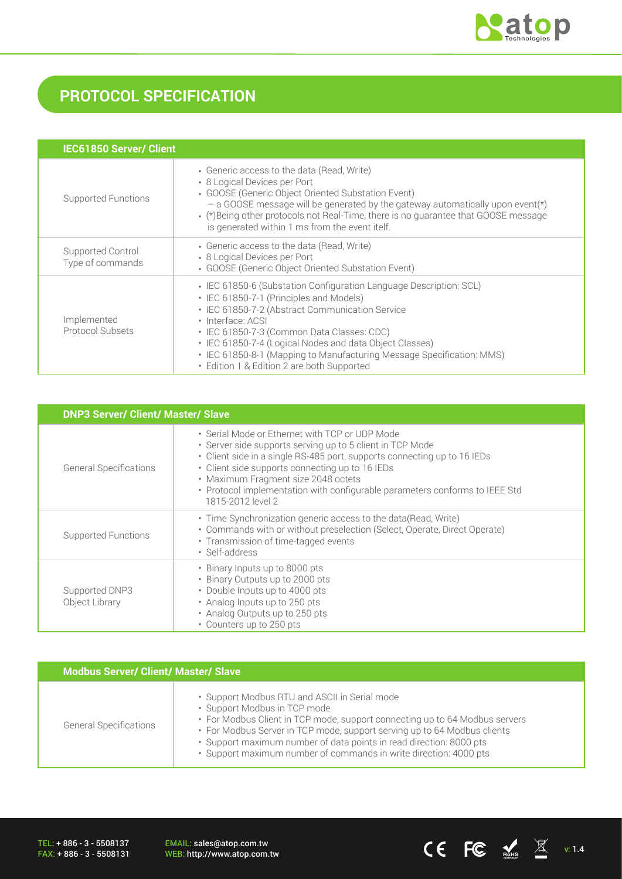

# **PROTOCOL SPECIFICATION**

| <b>IEC61850 Server/ Client</b>        |                                                                                                                                                                                                                                                                                                                                                                                                                       |
|---------------------------------------|-----------------------------------------------------------------------------------------------------------------------------------------------------------------------------------------------------------------------------------------------------------------------------------------------------------------------------------------------------------------------------------------------------------------------|
| Supported Functions                   | • Generic access to the data (Read, Write)<br>• 8 Logical Devices per Port<br>• GOOSE (Generic Object Oriented Substation Event)<br>$-$ a GOOSE message will be generated by the gateway automatically upon event(*)<br>• (*) Being other protocols not Real-Time, there is no quarantee that GOOSE message<br>is generated within 1 ms from the event itelf.                                                         |
| Supported Control<br>Type of commands | • Generic access to the data (Read, Write)<br>• 8 Logical Devices per Port<br>• GOOSE (Generic Object Oriented Substation Event)                                                                                                                                                                                                                                                                                      |
| Implemented<br>Protocol Subsets       | • IEC 61850-6 (Substation Configuration Language Description: SCL)<br>• IEC 61850-7-1 (Principles and Models)<br>• IEC 61850-7-2 (Abstract Communication Service<br>· Interface: ACSI<br>• IEC 61850-7-3 (Common Data Classes: CDC)<br>• IEC 61850-7-4 (Logical Nodes and data Object Classes)<br>• IEC 61850-8-1 (Mapping to Manufacturing Message Specification: MMS)<br>• Edition 1 & Edition 2 are both Supported |

|                                  | <b>DNP3 Server/ Client/ Master/ Slave</b>                                                                                                                                                                                                                                                                                                                                             |  |  |  |
|----------------------------------|---------------------------------------------------------------------------------------------------------------------------------------------------------------------------------------------------------------------------------------------------------------------------------------------------------------------------------------------------------------------------------------|--|--|--|
| <b>General Specifications</b>    | • Serial Mode or Ethernet with TCP or UDP Mode<br>• Server side supports serving up to 5 client in TCP Mode<br>• Client side in a single RS-485 port, supports connecting up to 16 IEDs<br>• Client side supports connecting up to 16 IEDs<br>· Maximum Fragment size 2048 octets<br>• Protocol implementation with configurable parameters conforms to IEEE Std<br>1815-2012 level 2 |  |  |  |
| <b>Supported Functions</b>       | · Time Synchronization generic access to the data(Read, Write)<br>• Commands with or without preselection (Select, Operate, Direct Operate)<br>• Transmission of time-tagged events<br>• Self-address                                                                                                                                                                                 |  |  |  |
| Supported DNP3<br>Object Library | • Binary Inputs up to 8000 pts<br>• Binary Outputs up to 2000 pts<br>• Double Inputs up to 4000 pts<br>• Analog Inputs up to 250 pts<br>• Analog Outputs up to 250 pts<br>• Counters up to 250 pts                                                                                                                                                                                    |  |  |  |

| <b>Modbus Server/ Client/ Master/ Slave</b> |                                                                                                                                                                                                                                                                                                                                                                                      |  |  |
|---------------------------------------------|--------------------------------------------------------------------------------------------------------------------------------------------------------------------------------------------------------------------------------------------------------------------------------------------------------------------------------------------------------------------------------------|--|--|
| <b>General Specifications</b>               | . Support Modbus RTU and ASCII in Serial mode<br>• Support Modbus in TCP mode<br>• For Modbus Client in TCP mode, support connecting up to 64 Modbus servers<br>• For Modbus Server in TCP mode, support serving up to 64 Modbus clients<br>· Support maximum number of data points in read direction: 8000 pts<br>· Support maximum number of commands in write direction: 4000 pts |  |  |

TEL: + 886 - 3 - 5508137 FAX: + 886 - 3 - 5508131 EMAIL: sales@atop.com.tw<br>WEB: http://www.atop.com.tw

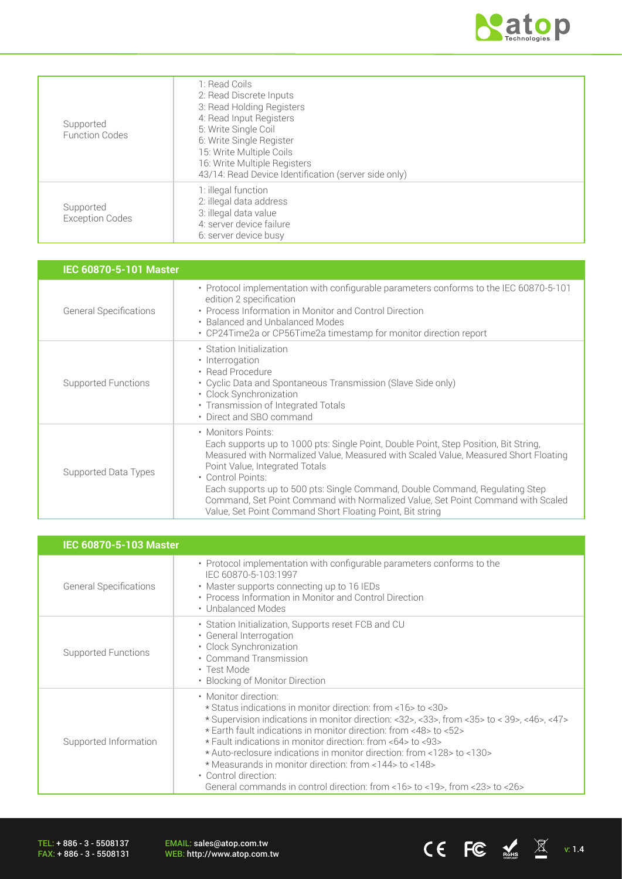

| Supported<br><b>Function Codes</b>  | 1: Read Coils<br>2: Read Discrete Inputs<br>3: Read Holding Registers<br>4: Read Input Registers<br>5: Write Single Coil<br>6: Write Single Register<br>15: Write Multiple Coils<br>16: Write Multiple Registers<br>43/14: Read Device Identification (server side only) |
|-------------------------------------|--------------------------------------------------------------------------------------------------------------------------------------------------------------------------------------------------------------------------------------------------------------------------|
| Supported<br><b>Exception Codes</b> | 1: illegal function<br>2: illegal data address<br>3: illegal data value<br>4: server device failure<br>6: server device busy                                                                                                                                             |

| IEC 60870-5-101 Master        |                                                                                                                                                                                                                                                                                                                                                                                                                                                                                          |
|-------------------------------|------------------------------------------------------------------------------------------------------------------------------------------------------------------------------------------------------------------------------------------------------------------------------------------------------------------------------------------------------------------------------------------------------------------------------------------------------------------------------------------|
| <b>General Specifications</b> | • Protocol implementation with configurable parameters conforms to the IEC 60870-5-101<br>edition 2 specification<br>• Process Information in Monitor and Control Direction<br>• Balanced and Unbalanced Modes<br>• CP24Time2a or CP56Time2a timestamp for monitor direction report                                                                                                                                                                                                      |
| Supported Functions           | • Station Initialization<br>• Interrogation<br>• Read Procedure<br>• Cyclic Data and Spontaneous Transmission (Slave Side only)<br>• Clock Synchronization<br>• Transmission of Integrated Totals<br>• Direct and SBO command                                                                                                                                                                                                                                                            |
| Supported Data Types          | • Monitors Points:<br>Each supports up to 1000 pts: Single Point, Double Point, Step Position, Bit String,<br>Measured with Normalized Value, Measured with Scaled Value, Measured Short Floating<br>Point Value, Integrated Totals<br>• Control Points:<br>Each supports up to 500 pts: Single Command, Double Command, Regulating Step<br>Command, Set Point Command with Normalized Value, Set Point Command with Scaled<br>Value, Set Point Command Short Floating Point, Bit string |

| <b>IEC 60870-5-103 Master</b> |                                                                                                                                                                                                                                                                                                                                                                                                                                                                                                                                                                                           |
|-------------------------------|-------------------------------------------------------------------------------------------------------------------------------------------------------------------------------------------------------------------------------------------------------------------------------------------------------------------------------------------------------------------------------------------------------------------------------------------------------------------------------------------------------------------------------------------------------------------------------------------|
| <b>General Specifications</b> | • Protocol implementation with configurable parameters conforms to the<br>IEC 60870-5-103:1997<br>• Master supports connecting up to 16 IEDs<br>• Process Information in Monitor and Control Direction<br>• Unbalanced Modes                                                                                                                                                                                                                                                                                                                                                              |
| Supported Functions           | • Station Initialization, Supports reset FCB and CU<br>• General Interrogation<br>· Clock Synchronization<br>• Command Transmission<br>• Test Mode<br>• Blocking of Monitor Direction                                                                                                                                                                                                                                                                                                                                                                                                     |
| Supported Information         | • Monitor direction:<br>* Status indications in monitor direction: from <16>to <30><br>* Supervision indications in monitor direction: <32>, <33>, from <35> to < 39>, <46>, <47><br>* Earth fault indications in monitor direction: from <48> to <52><br>* Fault indications in monitor direction: from <64> to <93><br>* Auto-reclosure indications in monitor direction: from <128> to <130><br>* Measurands in monitor direction: from <144> to <148><br>• Control direction:<br>General commands in control direction: from $<$ 16 $>$ to $<$ 19 $>$ , from $<$ 23 $>$ to $<$ 26 $>$ |

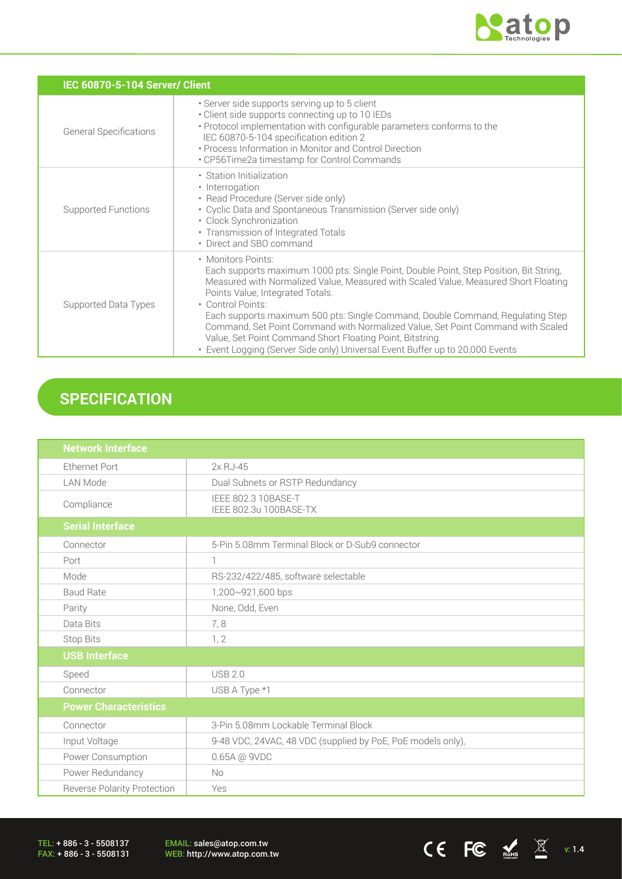

CE FC  $\underset{\text{nohs}}{\underbrace{\mathbb{K}}}$   $\quad \mathbb{K}$  v: 1.4

| IEC 60870-5-104 Server/ Client |                                                                                                                                                                                                                                                                                                                                                                                                                                                                                                                                                                                 |  |  |  |
|--------------------------------|---------------------------------------------------------------------------------------------------------------------------------------------------------------------------------------------------------------------------------------------------------------------------------------------------------------------------------------------------------------------------------------------------------------------------------------------------------------------------------------------------------------------------------------------------------------------------------|--|--|--|
| <b>General Specifications</b>  | · Server side supports serving up to 5 client<br>• Client side supports connecting up to 10 IEDs<br>• Protocol implementation with configurable parameters conforms to the<br>IEC 60870-5-104 specification edition 2<br>• Process Information in Monitor and Control Direction<br>• CP56Time2a timestamp for Control Commands                                                                                                                                                                                                                                                  |  |  |  |
| <b>Supported Functions</b>     | • Station Initialization<br>• Interrogation<br>• Read Procedure (Server side only)<br>• Cyclic Data and Spontaneous Transmission (Server side only)<br>• Clock Synchronization<br>• Transmission of Integrated Totals<br>• Direct and SBO command                                                                                                                                                                                                                                                                                                                               |  |  |  |
| Supported Data Types           | • Monitors Points:<br>Each supports maximum 1000 pts: Single Point, Double Point, Step Position, Bit String,<br>Measured with Normalized Value, Measured with Scaled Value, Measured Short Floating<br>Points Value, Integrated Totals.<br>• Control Points:<br>Each supports maximum 500 pts: Single Command, Double Command, Regulating Step<br>Command, Set Point Command with Normalized Value, Set Point Command with Scaled<br>Value, Set Point Command Short Floating Point, Bitstring.<br>• Event Logging (Server Side only) Universal Event Buffer up to 20,000 Events |  |  |  |

# **SPECIFICATION**

| <b>Network Interface</b>           |                                                             |  |  |
|------------------------------------|-------------------------------------------------------------|--|--|
| <b>Ethernet Port</b>               | 2x RJ-45                                                    |  |  |
| <b>LAN Mode</b>                    | Dual Subnets or RSTP Redundancy                             |  |  |
| Compliance                         | IEEE 802.3 10BASE-T<br>IEEE 802.3u 100BASE-TX               |  |  |
| <b>Serial Interface</b>            |                                                             |  |  |
| Connector                          | 5-Pin 5.08mm Terminal Block or D-Sub9 connector             |  |  |
| Port                               | 1                                                           |  |  |
| Mode                               | RS-232/422/485, software selectable                         |  |  |
| <b>Baud Rate</b>                   | 1,200~921,600 bps                                           |  |  |
| Parity                             | None, Odd, Even                                             |  |  |
| Data Bits                          | 7,8                                                         |  |  |
| Stop Bits                          | 1, 2                                                        |  |  |
| <b>USB Interface</b>               |                                                             |  |  |
| Speed                              | <b>USB 2.0</b>                                              |  |  |
| Connector                          | USB A Type *1                                               |  |  |
| <b>Power Characteristics</b>       |                                                             |  |  |
| Connector                          | 3-Pin 5.08mm Lockable Terminal Block                        |  |  |
| Input Voltage                      | 9-48 VDC, 24VAC, 48 VDC (supplied by PoE, PoE models only), |  |  |
| Power Consumption                  | 0.65A @ 9VDC                                                |  |  |
| Power Redundancy                   | <b>No</b>                                                   |  |  |
| <b>Reverse Polarity Protection</b> | Yes                                                         |  |  |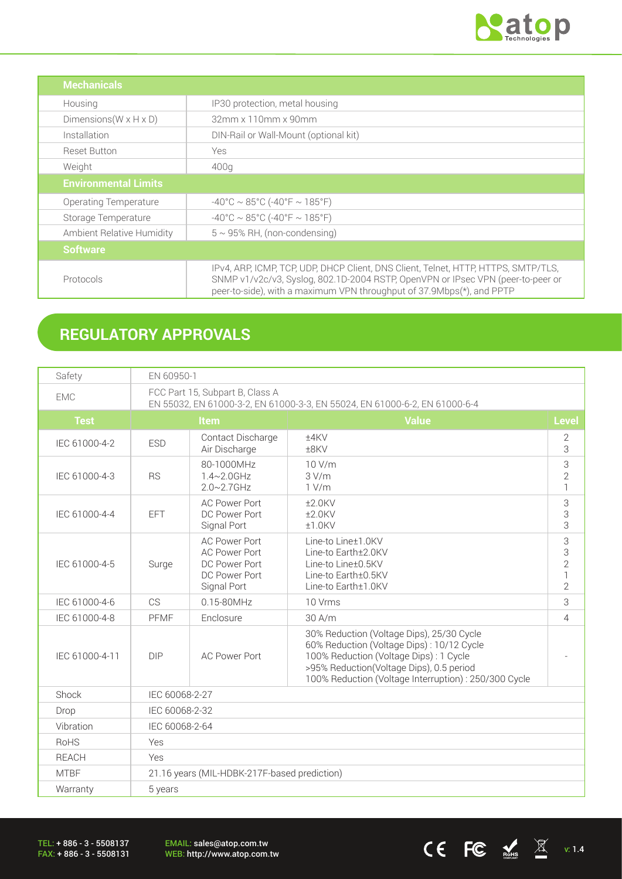

CE FC  $\underset{\text{nohs}}{\mathbb{E}}$   $\mathbb{E}$  v: 1.4

| <b>Mechanicals</b>                                                                                                                                                                                                                                          |                                        |  |
|-------------------------------------------------------------------------------------------------------------------------------------------------------------------------------------------------------------------------------------------------------------|----------------------------------------|--|
| Housing                                                                                                                                                                                                                                                     | IP30 protection, metal housing         |  |
| Dimensions ( $W \times H \times D$ )                                                                                                                                                                                                                        | 32mm x 110mm x 90mm                    |  |
| Installation                                                                                                                                                                                                                                                | DIN-Rail or Wall-Mount (optional kit)  |  |
| <b>Reset Button</b>                                                                                                                                                                                                                                         | Yes                                    |  |
| Weight<br>400q                                                                                                                                                                                                                                              |                                        |  |
| <b>Environmental Limits</b>                                                                                                                                                                                                                                 |                                        |  |
| Operating Temperature                                                                                                                                                                                                                                       | $-40^{\circ}$ C ~ 85°C (-40°F ~ 185°F) |  |
| $-40^{\circ}$ C ~ 85°C (-40°F ~ 185°F)<br>Storage Temperature                                                                                                                                                                                               |                                        |  |
| $5 \sim 95\%$ RH, (non-condensing)<br>Ambient Relative Humidity                                                                                                                                                                                             |                                        |  |
| <b>Software</b>                                                                                                                                                                                                                                             |                                        |  |
| IPv4, ARP, ICMP, TCP, UDP, DHCP Client, DNS Client, Telnet, HTTP, HTTPS, SMTP/TLS,<br>SNMP v1/v2c/v3, Syslog, 802.1D-2004 RSTP, OpenVPN or IPsec VPN (peer-to-peer or<br>Protocols<br>peer-to-side), with a maximum VPN throughput of 37.9Mbps(*), and PPTP |                                        |  |

# **REGULATORY APPROVALS**

| Safety              | EN 60950-1                                                                                                    |                                                                                               |                                                                                                                                                                                                                                       |                                     |  |
|---------------------|---------------------------------------------------------------------------------------------------------------|-----------------------------------------------------------------------------------------------|---------------------------------------------------------------------------------------------------------------------------------------------------------------------------------------------------------------------------------------|-------------------------------------|--|
| <b>EMC</b>          | FCC Part 15, Subpart B, Class A<br>EN 55032, EN 61000-3-2, EN 61000-3-3, EN 55024, EN 61000-6-2, EN 61000-6-4 |                                                                                               |                                                                                                                                                                                                                                       |                                     |  |
| <b>Test</b>         | <b>Value</b><br><b>Item</b>                                                                                   |                                                                                               | Level                                                                                                                                                                                                                                 |                                     |  |
| IEC 61000-4-2       | <b>ESD</b>                                                                                                    | Contact Discharge<br>Air Discharge                                                            | ±4KV<br>±8KV                                                                                                                                                                                                                          | $\overline{2}$<br>3                 |  |
| IEC 61000-4-3       | <b>RS</b>                                                                                                     | 80-1000MHz<br>$1.4 - 2.0$ GHz<br>$2.0 - 2.7$ GHz                                              | 10 V/m<br>3 V/m<br>1 V/m                                                                                                                                                                                                              | 3<br>$\overline{2}$<br>$\mathbf{1}$ |  |
| IEC 61000-4-4       | <b>EFT</b>                                                                                                    | <b>AC Power Port</b><br>DC Power Port<br>Signal Port                                          | 3<br>±2.0KV<br>3<br>$±2.0$ KV<br>3<br>$±1.0$ KV                                                                                                                                                                                       |                                     |  |
| IEC 61000-4-5       | Surge                                                                                                         | <b>AC Power Port</b><br><b>AC Power Port</b><br>DC Power Port<br>DC Power Port<br>Signal Port | Line-to Line±1.0KV<br>Line-to Earth±2.0KV<br>Line-to Line±0.5KV<br>Line-to Earth±0.5KV<br>Line-to Earth±1.0KV                                                                                                                         |                                     |  |
| IEC 61000-4-6       | CS                                                                                                            | 0.15-80MHz                                                                                    | 10 Vrms                                                                                                                                                                                                                               |                                     |  |
| IEC 61000-4-8       | <b>PFMF</b>                                                                                                   | Enclosure                                                                                     | 30 A/m                                                                                                                                                                                                                                |                                     |  |
| IEC 61000-4-11      | <b>DIP</b>                                                                                                    | <b>AC Power Port</b>                                                                          | 30% Reduction (Voltage Dips), 25/30 Cycle<br>60% Reduction (Voltage Dips): 10/12 Cycle<br>100% Reduction (Voltage Dips): 1 Cycle<br>>95% Reduction(Voltage Dips), 0.5 period<br>100% Reduction (Voltage Interruption) : 250/300 Cycle |                                     |  |
| Shock               | IEC 60068-2-27                                                                                                |                                                                                               |                                                                                                                                                                                                                                       |                                     |  |
| Drop                | IEC 60068-2-32                                                                                                |                                                                                               |                                                                                                                                                                                                                                       |                                     |  |
| Vibration           | IEC 60068-2-64                                                                                                |                                                                                               |                                                                                                                                                                                                                                       |                                     |  |
| <b>RoHS</b>         | Yes                                                                                                           |                                                                                               |                                                                                                                                                                                                                                       |                                     |  |
| <b>REACH</b>        | Yes                                                                                                           |                                                                                               |                                                                                                                                                                                                                                       |                                     |  |
| <b>MTBF</b>         | 21.16 years (MIL-HDBK-217F-based prediction)                                                                  |                                                                                               |                                                                                                                                                                                                                                       |                                     |  |
| Warranty<br>5 years |                                                                                                               |                                                                                               |                                                                                                                                                                                                                                       |                                     |  |

TEL: + 886 - 3 - 5508137 FAX: + 886 - 3 - 5508131 EMAIL: sales@atop.com.tw<br>WEB: http://www.atop.com.tw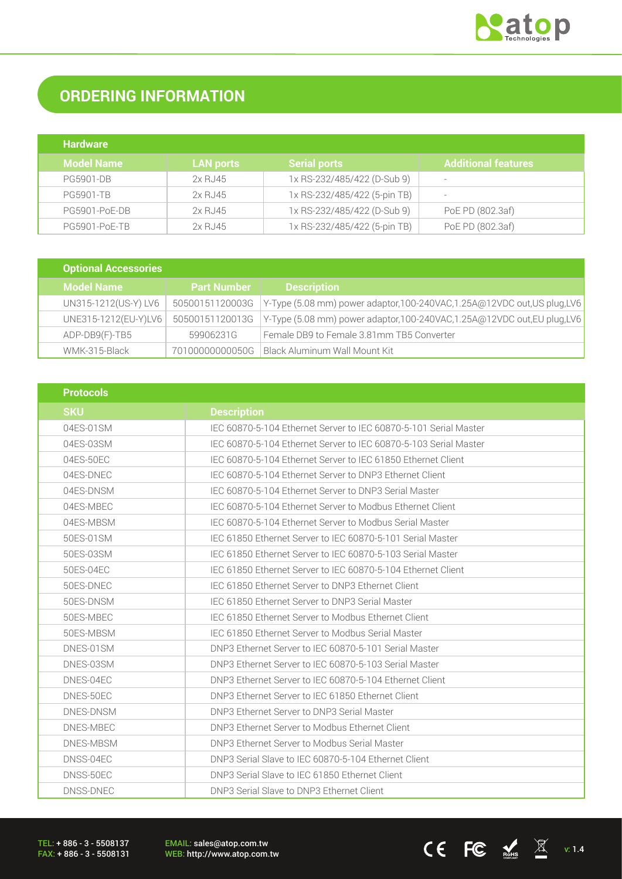

# **ORDERING INFORMATION**

| <b>Hardware</b>   |                  |                              |                            |
|-------------------|------------------|------------------------------|----------------------------|
| <b>Model Name</b> | <b>LAN ports</b> | <b>Serial ports</b>          | <b>Additional features</b> |
| <b>PG5901-DB</b>  | 2x RJ45          | 1x RS-232/485/422 (D-Sub 9)  | $\overline{\phantom{0}}$   |
| <b>PG5901-TB</b>  | 2x RJ45          | 1x RS-232/485/422 (5-pin TB) | $\overline{\phantom{0}}$   |
| PG5901-PoE-DB     | 2x RJ45          | 1x RS-232/485/422 (D-Sub 9)  | PoE PD (802.3af)           |
| PG5901-PoE-TB     | 2x RJ45          | 1x RS-232/485/422 (5-pin TB) | PoE PD (802.3af)           |

| <b>Optional Accessories</b> |                    |                                                                           |
|-----------------------------|--------------------|---------------------------------------------------------------------------|
| <b>Model Name</b>           | <b>Part Number</b> | <b>Description</b>                                                        |
| UN315-1212(US-Y) LV6        | 50500151120003G    | Y-Type (5.08 mm) power adaptor, 100-240VAC, 1.25A@12VDC out, US plug, LV6 |
| UNE315-1212(EU-Y)LV6        | 50500151120013G    | Y-Type (5.08 mm) power adaptor,100-240VAC,1.25A@12VDC out,EU plug,LV6     |
| ADP-DB9(F)-TB5              | 59906231G          | Female DB9 to Female 3.81mm TB5 Converter                                 |
| WMK-315-Black               | 70100000000050G    | Black Aluminum Wall Mount Kit                                             |

| <b>Protocols</b> |                                                                  |
|------------------|------------------------------------------------------------------|
| <b>SKU</b>       | <b>Description</b>                                               |
| 04ES-01SM        | IEC 60870-5-104 Ethernet Server to IEC 60870-5-101 Serial Master |
| 04ES-03SM        | IEC 60870-5-104 Ethernet Server to IEC 60870-5-103 Serial Master |
| 04ES-50EC        | IEC 60870-5-104 Ethernet Server to IEC 61850 Ethernet Client     |
| 04ES-DNEC        | IEC 60870-5-104 Ethernet Server to DNP3 Ethernet Client          |
| 04ES-DNSM        | IEC 60870-5-104 Ethernet Server to DNP3 Serial Master            |
| 04ES-MBEC        | IEC 60870-5-104 Ethernet Server to Modbus Ethernet Client        |
| 04ES-MBSM        | IEC 60870-5-104 Ethernet Server to Modbus Serial Master          |
| 50ES-01SM        | IEC 61850 Ethernet Server to IEC 60870-5-101 Serial Master       |
| 50ES-03SM        | IEC 61850 Ethernet Server to IEC 60870-5-103 Serial Master       |
| 50ES-04EC        | IEC 61850 Ethernet Server to IEC 60870-5-104 Ethernet Client     |
| 50ES-DNEC        | IEC 61850 Ethernet Server to DNP3 Ethernet Client                |
| 50ES-DNSM        | IEC 61850 Ethernet Server to DNP3 Serial Master                  |
| 50ES-MBEC        | IFC 61850 Ethernet Server to Modbus Ethernet Client              |
| 50ES-MBSM        | IEC 61850 Ethernet Server to Modbus Serial Master                |
| DNES-01SM        | DNP3 Ethernet Server to IEC 60870-5-101 Serial Master            |
| DNES-03SM        | DNP3 Ethernet Server to IEC 60870-5-103 Serial Master            |
| DNES-04EC        | DNP3 Ethernet Server to IEC 60870-5-104 Ethernet Client          |
| DNES-50EC        | DNP3 Ethernet Server to IEC 61850 Ethernet Client                |
| DNES-DNSM        | DNP3 Ethernet Server to DNP3 Serial Master                       |
| DNES-MBEC        | DNP3 Ethernet Server to Modbus Ethernet Client                   |
| DNES-MBSM        | DNP3 Ethernet Server to Modbus Serial Master                     |
| DNSS-04EC        | DNP3 Serial Slave to IEC 60870-5-104 Ethernet Client             |
| DNSS-50EC        | DNP3 Serial Slave to IEC 61850 Ethernet Client                   |
| DNSS-DNEC        | DNP3 Serial Slave to DNP3 Ethernet Client                        |